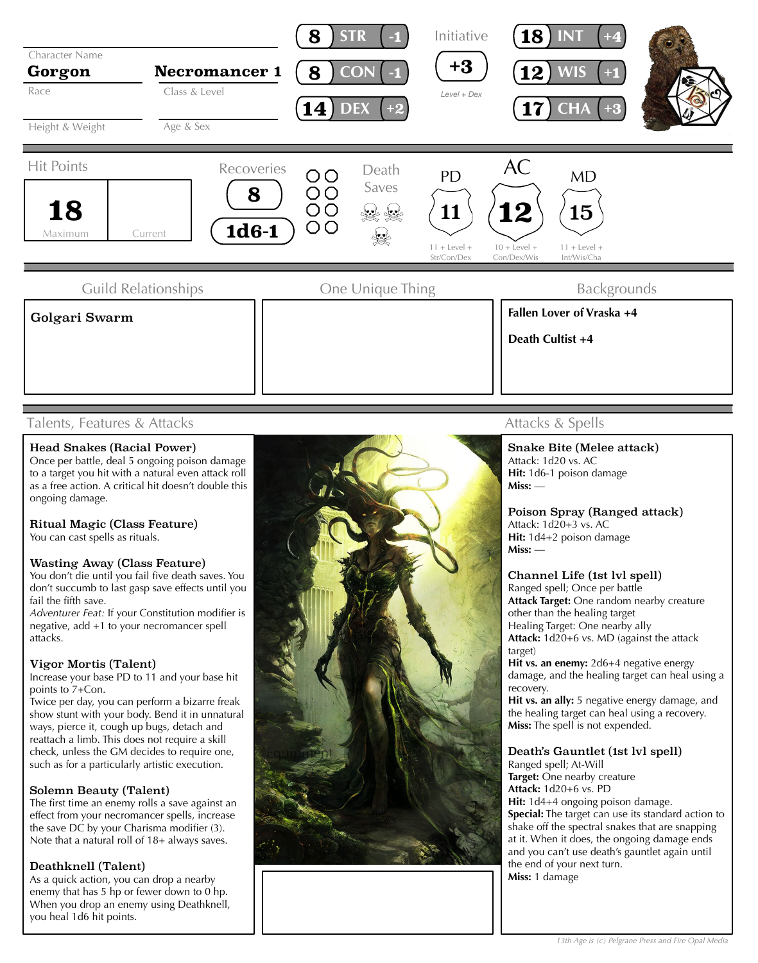

## Talents, Features & Attacks

## Head Snakes (Racial Power)

Once per battle, deal 5 ongoing poison damage to a target you hit with a natural even attack roll as a free action. A critical hit doesn't double this ongoing damage.

## Ritual Magic (Class Feature)

You can cast spells as rituals.

#### Wasting Away (Class Feature)

You don't die until you fail five death saves. You don't succumb to last gasp save effects until you fail the fifth save.

*Adventurer Feat:* If your Constitution modifier is negative, add +1 to your necromancer spell attacks.

#### Vigor Mortis (Talent)

Increase your base PD to 11 and your base hit points to 7+Con.

Twice per day, you can perform a bizarre freak show stunt with your body. Bend it in unnatural ways, pierce it, cough up bugs, detach and reattach a limb. This does not require a skill check, unless the GM decides to require one, such as for a particularly artistic execution.

## Solemn Beauty (Talent)

The first time an enemy rolls a save against an effect from your necromancer spells, increase the save DC by your Charisma modifier (3). Note that a natural roll of 18+ always saves.

## Deathknell (Talent)

As a quick action, you can drop a nearby enemy that has 5 hp or fewer down to 0 hp. When you drop an enemy using Deathknell, you heal 1d6 hit points.



# Attacks & Spells

Snake Bite (Melee attack) Attack: 1d20 vs. AC **Hit:** 1d6-1 poison damage **Miss:** —

Poison Spray (Ranged attack) Attack: 1d20+3 vs. AC **Hit:** 1d4+2 poison damage **Miss:** —

#### Channel Life (1st lvl spell)

Ranged spell; Once per battle **Attack Target:** One random nearby creature other than the healing target Healing Target: One nearby ally **Attack:** 1d20+6 vs. MD (against the attack target)

**Hit vs. an enemy:** 2d6+4 negative energy damage, and the healing target can heal using a recovery.

**Hit vs. an ally:** 5 negative energy damage, and the healing target can heal using a recovery. **Miss:** The spell is not expended.

#### Death's Gauntlet (1st lvl spell)

Ranged spell; At-Will **Target:** One nearby creature **Attack:** 1d20+6 vs. PD **Hit:** 1d4+4 ongoing poison damage. **Special:** The target can use its standard action to shake off the spectral snakes that are snapping at it. When it does, the ongoing damage ends and you can't use death's gauntlet again until the end of your next turn. **Miss:** 1 damage